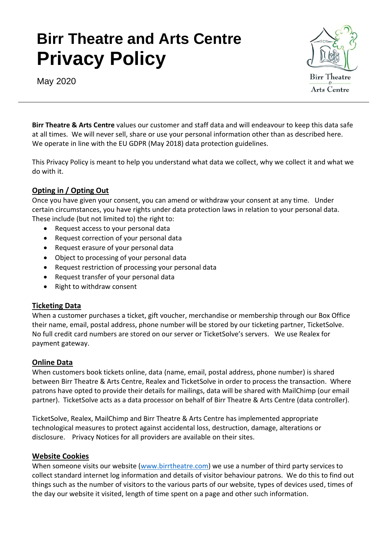# **Birr Theatre and Arts Centre Privacy Policy**



May 2020

**Birr Theatre & Arts Centre** values our customer and staff data and will endeavour to keep this data safe at all times. We will never sell, share or use your personal information other than as described here. We operate in line with the EU GDPR (May 2018) data protection guidelines.

This Privacy Policy is meant to help you understand what data we collect, why we collect it and what we do with it.

## **Opting in / Opting Out**

Once you have given your consent, you can amend or withdraw your consent at any time. Under certain circumstances, you have rights under data protection laws in relation to your personal data. These include (but not limited to) the right to:

- Request access to your personal data
- Request correction of your personal data
- Request erasure of your personal data
- Object to processing of your personal data
- Request restriction of processing your personal data
- Request transfer of your personal data
- Right to withdraw consent

## **Ticketing Data**

When a customer purchases a ticket, gift voucher, merchandise or membership through our Box Office their name, email, postal address, phone number will be stored by our ticketing partner, TicketSolve. No full credit card numbers are stored on our server or TicketSolve's servers. We use Realex for payment gateway.

## **Online Data**

When customers book tickets online, data (name, email, postal address, phone number) is shared between Birr Theatre & Arts Centre, Realex and TicketSolve in order to process the transaction. Where patrons have opted to provide their details for mailings, data will be shared with MailChimp (our email partner). TicketSolve acts as a data processor on behalf of Birr Theatre & Arts Centre (data controller).

TicketSolve, Realex, MailChimp and Birr Theatre & Arts Centre has implemented appropriate technological measures to protect against accidental loss, destruction, damage, alterations or disclosure. Privacy Notices for all providers are available on their sites.

## **Website Cookies**

When someone visits our website [\(www.birrtheatre.com\)](http://www.birrtheatre.com/) we use a number of third party services to collect standard internet log information and details of visitor behaviour patrons. We do this to find out things such as the number of visitors to the various parts of our website, types of devices used, times of the day our website it visited, length of time spent on a page and other such information.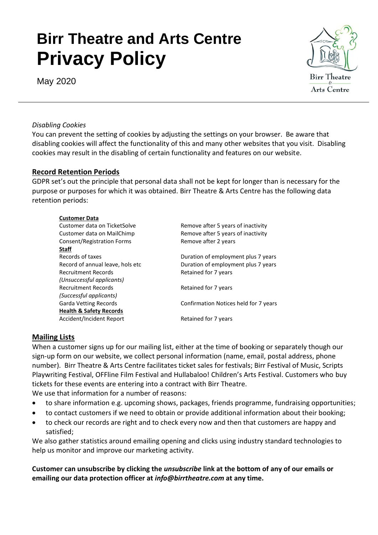# **Birr Theatre and Arts Centre Privacy Policy**





#### *Disabling Cookies*

You can prevent the setting of cookies by adjusting the settings on your browser. Be aware that disabling cookies will affect the functionality of this and many other websites that you visit. Disabling cookies may result in the disabling of certain functionality and features on our website.

#### **Record Retention Periods**

GDPR set's out the principle that personal data shall not be kept for longer than is necessary for the purpose or purposes for which it was obtained. Birr Theatre & Arts Centre has the following data retention periods:

| Customer data on TicketSolve       | Remove after 5 years of inactivity    |
|------------------------------------|---------------------------------------|
| Customer data on MailChimp         | Remove after 5 years of inactivity    |
| Consent/Registration Forms         | Remove after 2 years                  |
| <b>Staff</b>                       |                                       |
| Records of taxes                   | Duration of employment plus 7 years   |
| Record of annual leave, hols etc   | Duration of employment plus 7 years   |
| <b>Recruitment Records</b>         | Retained for 7 years                  |
| (Unsuccessful applicants)          |                                       |
| <b>Recruitment Records</b>         | Retained for 7 years                  |
| (Successful applicants)            |                                       |
| <b>Garda Vetting Records</b>       | Confirmation Notices held for 7 years |
| <b>Health &amp; Safety Records</b> |                                       |
| Accident/Incident Report           | Retained for 7 years                  |
|                                    |                                       |

## **Mailing Lists**

When a customer signs up for our mailing list, either at the time of booking or separately though our sign-up form on our website, we collect personal information (name, email, postal address, phone number). Birr Theatre & Arts Centre facilitates ticket sales for festivals; Birr Festival of Music, Scripts Playwriting Festival, OFFline Film Festival and Hullabaloo! Children's Arts Festival. Customers who buy tickets for these events are entering into a contract with Birr Theatre.

We use that information for a number of reasons:

- to share information e.g. upcoming shows, packages, friends programme, fundraising opportunities;
- to contact customers if we need to obtain or provide additional information about their booking;
- to check our records are right and to check every now and then that customers are happy and satisfied;

We also gather statistics around emailing opening and clicks using industry standard technologies to help us monitor and improve our marketing activity.

**Customer can unsubscribe by clicking the** *unsubscribe* **link at the bottom of any of our emails or emailing our data protection officer at** *info@birrtheatre.com* **at any time.**